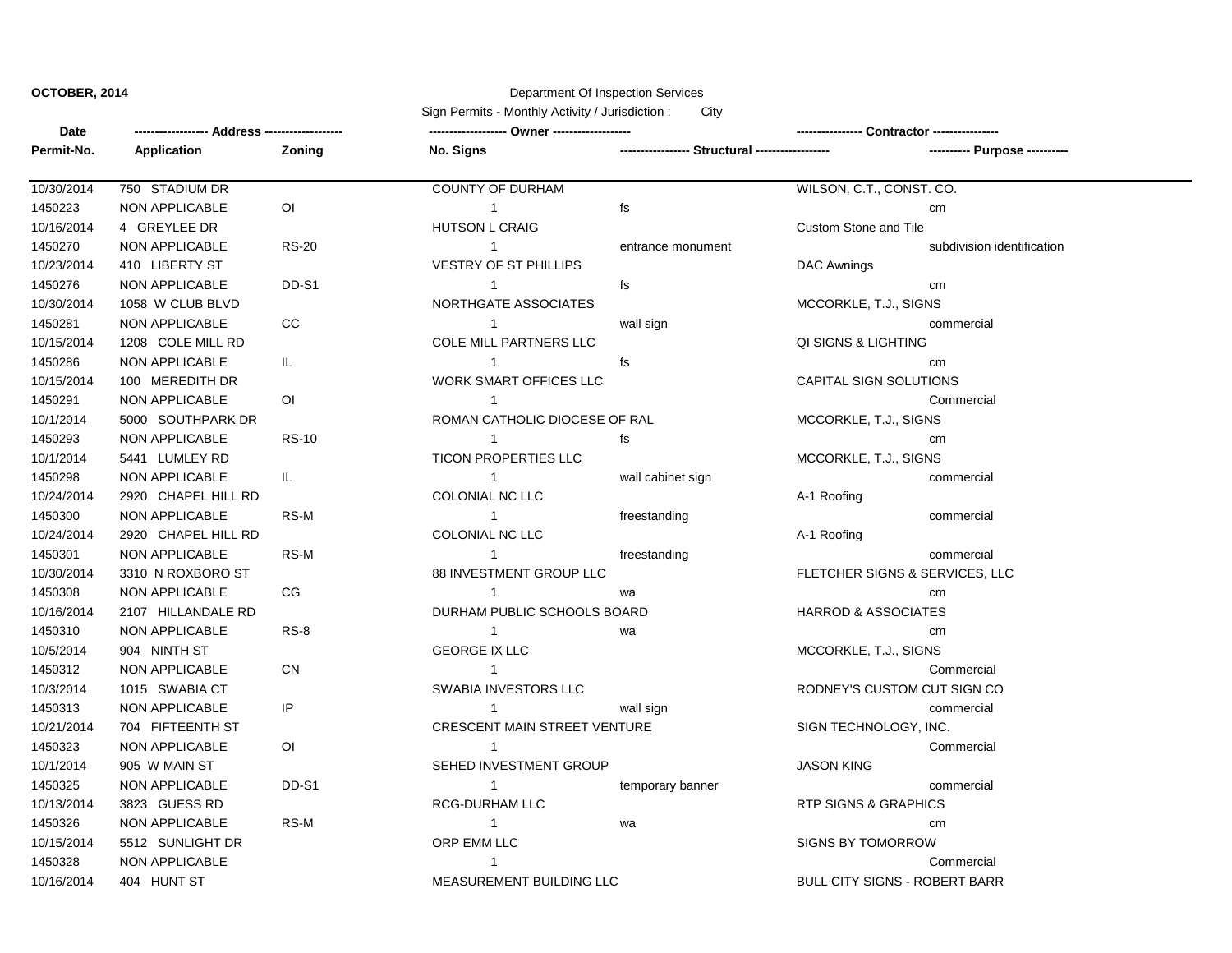## **OCTOBER, 2014** Department Of Inspection Services

Sign Permits - Monthly Activity / Jurisdiction : City

| Date       |                     |                        |                                     |                                                |                                      |                            |
|------------|---------------------|------------------------|-------------------------------------|------------------------------------------------|--------------------------------------|----------------------------|
| Permit-No. | <b>Application</b>  | <b>Zoning</b>          | No. Signs                           | ---------------- Structural ------------------ |                                      |                            |
| 10/30/2014 | 750 STADIUM DR      |                        | <b>COUNTY OF DURHAM</b>             |                                                | WILSON, C.T., CONST. CO.             |                            |
| 1450223    | NON APPLICABLE      | $\mathsf{O}\mathsf{I}$ | $\overline{1}$                      | fs                                             |                                      | cm                         |
| 10/16/2014 | 4 GREYLEE DR        |                        | <b>HUTSON L CRAIG</b>               |                                                | <b>Custom Stone and Tile</b>         |                            |
| 1450270    | NON APPLICABLE      | <b>RS-20</b>           | $\mathbf{1}$                        | entrance monument                              |                                      | subdivision identification |
| 10/23/2014 | 410 LIBERTY ST      |                        | <b>VESTRY OF ST PHILLIPS</b>        |                                                | DAC Awnings                          |                            |
| 1450276    | NON APPLICABLE      | DD-S1                  | $\mathbf{1}$                        | fs                                             |                                      | cm                         |
| 10/30/2014 | 1058 W CLUB BLVD    |                        | NORTHGATE ASSOCIATES                |                                                | MCCORKLE, T.J., SIGNS                |                            |
| 1450281    | NON APPLICABLE      | $_{\rm CC}$            | $\mathbf{1}$                        | wall sign                                      |                                      | commercial                 |
| 10/15/2014 | 1208 COLE MILL RD   |                        | COLE MILL PARTNERS LLC              |                                                | QI SIGNS & LIGHTING                  |                            |
| 1450286    | NON APPLICABLE      | IL.                    | $\mathbf{1}$                        | fs                                             |                                      | cm                         |
| 10/15/2014 | 100 MEREDITH DR     |                        | <b>WORK SMART OFFICES LLC</b>       |                                                | CAPITAL SIGN SOLUTIONS               |                            |
| 1450291    | NON APPLICABLE      | 0I                     | $\mathbf{1}$                        |                                                |                                      | Commercial                 |
| 10/1/2014  | 5000 SOUTHPARK DR   |                        | ROMAN CATHOLIC DIOCESE OF RAL       |                                                | MCCORKLE, T.J., SIGNS                |                            |
| 1450293    | NON APPLICABLE      | <b>RS-10</b>           | $\mathbf{1}$                        | fs                                             |                                      | cm                         |
| 10/1/2014  | 5441 LUMLEY RD      |                        | <b>TICON PROPERTIES LLC</b>         |                                                | MCCORKLE, T.J., SIGNS                |                            |
| 1450298    | NON APPLICABLE      | IL.                    | $\overline{1}$                      | wall cabinet sign                              |                                      | commercial                 |
| 10/24/2014 | 2920 CHAPEL HILL RD |                        | COLONIAL NC LLC                     |                                                | A-1 Roofing                          |                            |
| 1450300    | NON APPLICABLE      | RS-M                   | $\mathbf{1}$                        | freestanding                                   |                                      | commercial                 |
| 10/24/2014 | 2920 CHAPEL HILL RD |                        | COLONIAL NC LLC                     |                                                | A-1 Roofing                          |                            |
| 1450301    | NON APPLICABLE      | RS-M                   | $\mathbf{1}$                        | freestanding                                   |                                      | commercial                 |
| 10/30/2014 | 3310 N ROXBORO ST   |                        | 88 INVESTMENT GROUP LLC             |                                                | FLETCHER SIGNS & SERVICES, LLC       |                            |
| 1450308    | NON APPLICABLE      | CG                     | $\mathbf{1}$                        | wa                                             |                                      | cm                         |
| 10/16/2014 | 2107 HILLANDALE RD  |                        | DURHAM PUBLIC SCHOOLS BOARD         |                                                | <b>HARROD &amp; ASSOCIATES</b>       |                            |
| 1450310    | NON APPLICABLE      | $RS-8$                 | $\mathbf{1}$                        | wa                                             |                                      | cm                         |
| 10/5/2014  | 904 NINTH ST        |                        | <b>GEORGE IX LLC</b>                |                                                | MCCORKLE, T.J., SIGNS                |                            |
| 1450312    | NON APPLICABLE      | ${\sf CN}$             | $\mathbf{1}$                        |                                                |                                      | Commercial                 |
| 10/3/2014  | 1015 SWABIA CT      |                        | SWABIA INVESTORS LLC                |                                                | RODNEY'S CUSTOM CUT SIGN CO          |                            |
| 1450313    | NON APPLICABLE      | IP                     | $\mathbf{1}$                        | wall sign                                      |                                      | commercial                 |
| 10/21/2014 | 704 FIFTEENTH ST    |                        | <b>CRESCENT MAIN STREET VENTURE</b> |                                                | SIGN TECHNOLOGY, INC.                |                            |
| 1450323    | NON APPLICABLE      | 0I                     | $\mathbf{1}$                        |                                                |                                      | Commercial                 |
| 10/1/2014  | 905 W MAIN ST       |                        | SEHED INVESTMENT GROUP              |                                                | <b>JASON KING</b>                    |                            |
| 1450325    | NON APPLICABLE      | DD-S1                  | $\mathbf{1}$                        | temporary banner                               |                                      | commercial                 |
| 10/13/2014 | 3823 GUESS RD       |                        | <b>RCG-DURHAM LLC</b>               |                                                | <b>RTP SIGNS &amp; GRAPHICS</b>      |                            |
| 1450326    | NON APPLICABLE      | RS-M                   | $\mathbf{1}$                        | wa                                             |                                      | cm                         |
| 10/15/2014 | 5512 SUNLIGHT DR    |                        | ORP EMM LLC                         |                                                | <b>SIGNS BY TOMORROW</b>             |                            |
| 1450328    | NON APPLICABLE      |                        | $\mathbf{1}$                        |                                                |                                      | Commercial                 |
| 10/16/2014 | 404 HUNT ST         |                        | MEASUREMENT BUILDING LLC            |                                                | <b>BULL CITY SIGNS - ROBERT BARR</b> |                            |